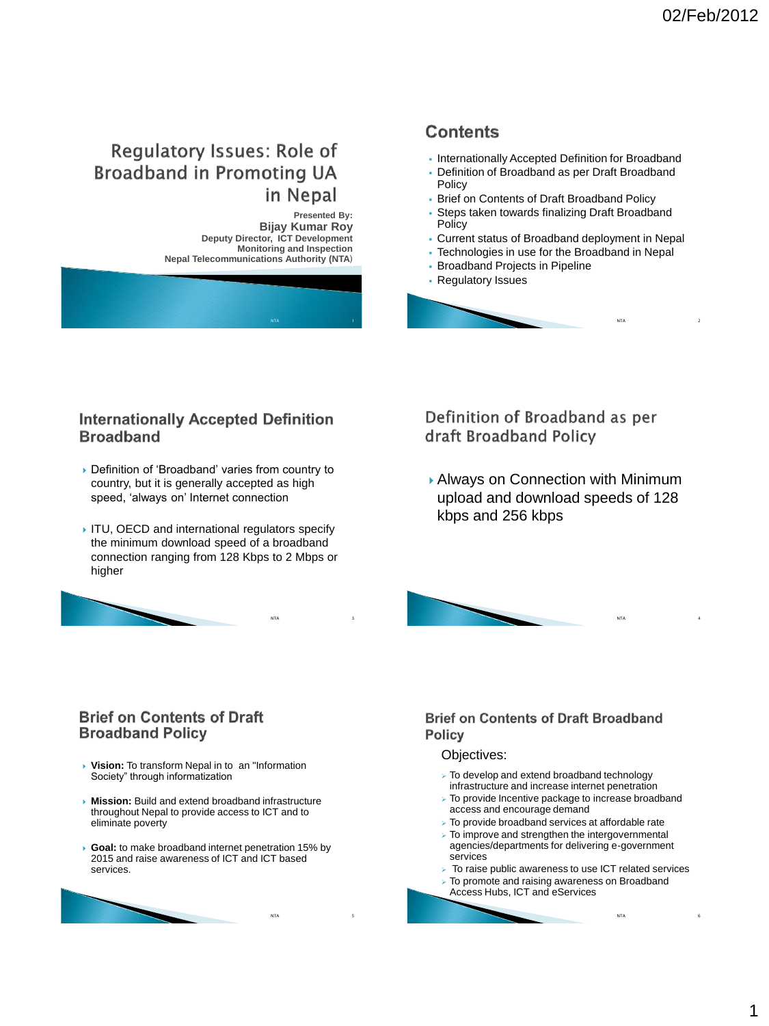$NTA$  2

# **Regulatory Issues: Role of Broadband in Promoting UA** in Nepal

**Presented By: Bijay Kumar Roy Deputy Director, ICT Development Monitoring and Inspection Nepal Telecommunications Authority (NTA**)

## **Contents**

- **Internationally Accepted Definition for Broadband**
- Definition of Broadband as per Draft Broadband Policy
- Brief on Contents of Draft Broadband Policy
- Steps taken towards finalizing Draft Broadband **Policy**
- Current status of Broadband deployment in Nepal
- Technologies in use for the Broadband in Nepal
- Broadband Projects in Pipeline
- Regulatory Issues



#### **Internationally Accepted Definition Broadband**

- Definition of 'Broadband' varies from country to country, but it is generally accepted as high speed, 'always on' Internet connection
- ITU, OECD and international regulators specify the minimum download speed of a broadband connection ranging from 128 Kbps to 2 Mbps or higher

 $NTA$  3

NTA 5

Definition of Broadband as per draft Broadband Policy

 Always on Connection with Minimum upload and download speeds of 128 kbps and 256 kbps



#### **Brief on Contents of Draft Broadband Policy**

- **Vision:** To transform Nepal in to an "Information Society" through informatization
- **Mission:** Build and extend broadband infrastructure throughout Nepal to provide access to ICT and to eliminate poverty
- **Goal:** to make broadband internet penetration 15% by 2015 and raise awareness of ICT and ICT based services.



#### **Brief on Contents of Draft Broadband Policy**

#### Objectives:

- To develop and extend broadband technology infrastructure and increase internet penetration
- $\triangleright$  To provide Incentive package to increase broadband access and encourage demand
- $\triangleright$  To provide broadband services at affordable rate
- $\triangleright$  To improve and strengthen the intergovernmental agencies/departments for delivering e-government services
- $\triangleright$  To raise public awareness to use ICT related services

NTA 6

- To promote and raising awareness on Broadband
	- Access Hubs, ICT and eServices